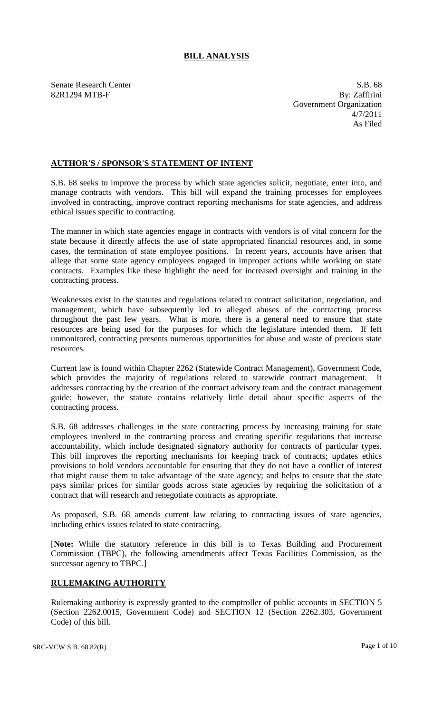# **BILL ANALYSIS**

Senate Research Center S.B. 68 82R1294 MTB-F By: Zaffirini Government Organization 4/7/2011 As Filed

### **AUTHOR'S / SPONSOR'S STATEMENT OF INTENT**

S.B. 68 seeks to improve the process by which state agencies solicit, negotiate, enter into, and manage contracts with vendors. This bill will expand the training processes for employees involved in contracting, improve contract reporting mechanisms for state agencies, and address ethical issues specific to contracting.

The manner in which state agencies engage in contracts with vendors is of vital concern for the state because it directly affects the use of state appropriated financial resources and, in some cases, the termination of state employee positions. In recent years, accounts have arisen that allege that some state agency employees engaged in improper actions while working on state contracts. Examples like these highlight the need for increased oversight and training in the contracting process.

Weaknesses exist in the statutes and regulations related to contract solicitation, negotiation, and management, which have subsequently led to alleged abuses of the contracting process throughout the past few years. What is more, there is a general need to ensure that state resources are being used for the purposes for which the legislature intended them. If left unmonitored, contracting presents numerous opportunities for abuse and waste of precious state resources.

Current law is found within Chapter 2262 (Statewide Contract Management), Government Code, which provides the majority of regulations related to statewide contract management. It addresses contracting by the creation of the contract advisory team and the contract management guide; however, the statute contains relatively little detail about specific aspects of the contracting process.

S.B. 68 addresses challenges in the state contracting process by increasing training for state employees involved in the contracting process and creating specific regulations that increase accountability, which include designated signatory authority for contracts of particular types. This bill improves the reporting mechanisms for keeping track of contracts; updates ethics provisions to hold vendors accountable for ensuring that they do not have a conflict of interest that might cause them to take advantage of the state agency; and helps to ensure that the state pays similar prices for similar goods across state agencies by requiring the solicitation of a contract that will research and renegotiate contracts as appropriate.

As proposed, S.B. 68 amends current law relating to contracting issues of state agencies, including ethics issues related to state contracting.

[**Note:** While the statutory reference in this bill is to Texas Building and Procurement Commission (TBPC), the following amendments affect Texas Facilities Commission, as the successor agency to TBPC.]

### **RULEMAKING AUTHORITY**

Rulemaking authority is expressly granted to the comptroller of public accounts in SECTION 5 (Section 2262.0015, Government Code) and SECTION 12 (Section 2262.303, Government Code) of this bill.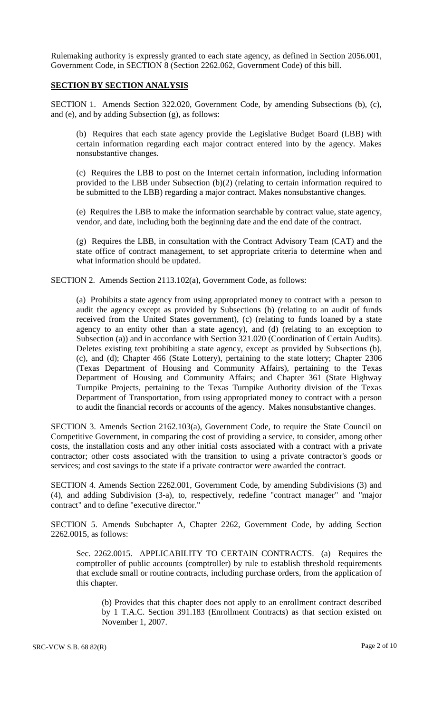Rulemaking authority is expressly granted to each state agency, as defined in Section 2056.001, Government Code, in SECTION 8 (Section 2262.062, Government Code) of this bill.

### **SECTION BY SECTION ANALYSIS**

SECTION 1. Amends Section 322.020, Government Code, by amending Subsections (b), (c), and (e), and by adding Subsection (g), as follows:

(b) Requires that each state agency provide the Legislative Budget Board (LBB) with certain information regarding each major contract entered into by the agency. Makes nonsubstantive changes.

(c) Requires the LBB to post on the Internet certain information, including information provided to the LBB under Subsection (b)(2) (relating to certain information required to be submitted to the LBB) regarding a major contract. Makes nonsubstantive changes.

(e) Requires the LBB to make the information searchable by contract value, state agency, vendor, and date, including both the beginning date and the end date of the contract.

(g) Requires the LBB, in consultation with the Contract Advisory Team (CAT) and the state office of contract management, to set appropriate criteria to determine when and what information should be updated.

SECTION 2. Amends Section 2113.102(a), Government Code, as follows:

(a) Prohibits a state agency from using appropriated money to contract with a person to audit the agency except as provided by Subsections (b) (relating to an audit of funds received from the United States government), (c) (relating to funds loaned by a state agency to an entity other than a state agency), and (d) (relating to an exception to Subsection (a)) and in accordance with Section 321.020 (Coordination of Certain Audits). Deletes existing text prohibiting a state agency, except as provided by Subsections (b), (c), and (d); Chapter 466 (State Lottery), pertaining to the state lottery; Chapter 2306 (Texas Department of Housing and Community Affairs), pertaining to the Texas Department of Housing and Community Affairs; and Chapter 361 (State Highway Turnpike Projects, pertaining to the Texas Turnpike Authority division of the Texas Department of Transportation, from using appropriated money to contract with a person to audit the financial records or accounts of the agency. Makes nonsubstantive changes.

SECTION 3. Amends Section 2162.103(a), Government Code, to require the State Council on Competitive Government, in comparing the cost of providing a service, to consider, among other costs, the installation costs and any other initial costs associated with a contract with a private contractor; other costs associated with the transition to using a private contractor's goods or services; and cost savings to the state if a private contractor were awarded the contract.

SECTION 4. Amends Section 2262.001, Government Code, by amending Subdivisions (3) and (4), and adding Subdivision (3-a), to, respectively, redefine "contract manager" and "major contract" and to define "executive director."

SECTION 5. Amends Subchapter A, Chapter 2262, Government Code, by adding Section 2262.0015, as follows:

Sec. 2262.0015. APPLICABILITY TO CERTAIN CONTRACTS. (a) Requires the comptroller of public accounts (comptroller) by rule to establish threshold requirements that exclude small or routine contracts, including purchase orders, from the application of this chapter.

(b) Provides that this chapter does not apply to an enrollment contract described by 1 T.A.C. Section 391.183 (Enrollment Contracts) as that section existed on November 1, 2007.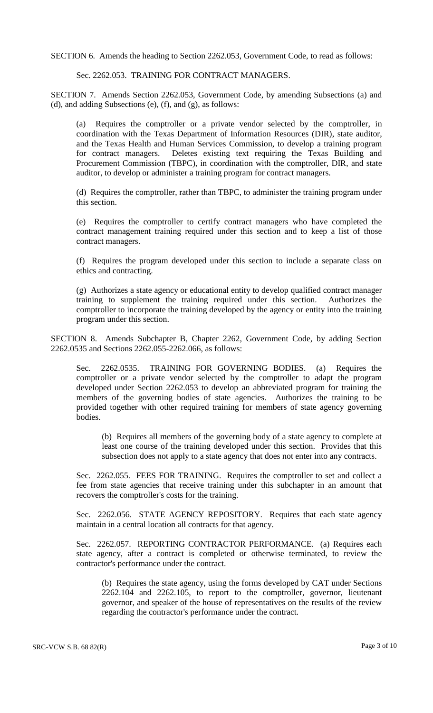SECTION 6. Amends the heading to Section 2262.053, Government Code, to read as follows:

Sec. 2262.053. TRAINING FOR CONTRACT MANAGERS.

SECTION 7. Amends Section 2262.053, Government Code, by amending Subsections (a) and (d), and adding Subsections (e), (f), and (g), as follows:

(a) Requires the comptroller or a private vendor selected by the comptroller, in coordination with the Texas Department of Information Resources (DIR), state auditor, and the Texas Health and Human Services Commission, to develop a training program for contract managers. Deletes existing text requiring the Texas Building and Procurement Commission (TBPC), in coordination with the comptroller, DIR, and state auditor, to develop or administer a training program for contract managers.

(d) Requires the comptroller, rather than TBPC, to administer the training program under this section.

(e) Requires the comptroller to certify contract managers who have completed the contract management training required under this section and to keep a list of those contract managers.

(f) Requires the program developed under this section to include a separate class on ethics and contracting.

(g) Authorizes a state agency or educational entity to develop qualified contract manager training to supplement the training required under this section. comptroller to incorporate the training developed by the agency or entity into the training program under this section.

SECTION 8. Amends Subchapter B, Chapter 2262, Government Code, by adding Section 2262.0535 and Sections 2262.055-2262.066, as follows:

Sec. 2262.0535. TRAINING FOR GOVERNING BODIES. (a) Requires the comptroller or a private vendor selected by the comptroller to adapt the program developed under Section 2262.053 to develop an abbreviated program for training the members of the governing bodies of state agencies. Authorizes the training to be provided together with other required training for members of state agency governing bodies.

(b) Requires all members of the governing body of a state agency to complete at least one course of the training developed under this section. Provides that this subsection does not apply to a state agency that does not enter into any contracts.

Sec. 2262.055. FEES FOR TRAINING. Requires the comptroller to set and collect a fee from state agencies that receive training under this subchapter in an amount that recovers the comptroller's costs for the training.

Sec. 2262.056. STATE AGENCY REPOSITORY. Requires that each state agency maintain in a central location all contracts for that agency.

Sec. 2262.057. REPORTING CONTRACTOR PERFORMANCE. (a) Requires each state agency, after a contract is completed or otherwise terminated, to review the contractor's performance under the contract.

(b) Requires the state agency, using the forms developed by CAT under Sections 2262.104 and 2262.105, to report to the comptroller, governor, lieutenant governor, and speaker of the house of representatives on the results of the review regarding the contractor's performance under the contract.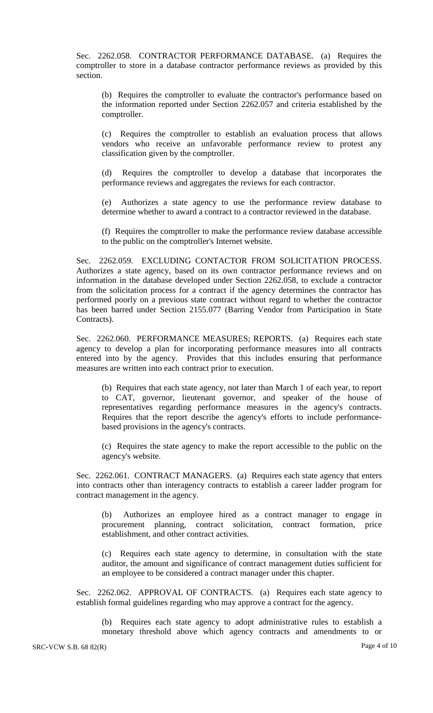Sec. 2262.058. CONTRACTOR PERFORMANCE DATABASE. (a) Requires the comptroller to store in a database contractor performance reviews as provided by this section.

(b) Requires the comptroller to evaluate the contractor's performance based on the information reported under Section 2262.057 and criteria established by the comptroller.

(c) Requires the comptroller to establish an evaluation process that allows vendors who receive an unfavorable performance review to protest any classification given by the comptroller.

(d) Requires the comptroller to develop a database that incorporates the performance reviews and aggregates the reviews for each contractor.

(e) Authorizes a state agency to use the performance review database to determine whether to award a contract to a contractor reviewed in the database.

(f) Requires the comptroller to make the performance review database accessible to the public on the comptroller's Internet website.

Sec. 2262.059. EXCLUDING CONTACTOR FROM SOLICITATION PROCESS. Authorizes a state agency, based on its own contractor performance reviews and on information in the database developed under Section 2262.058, to exclude a contractor from the solicitation process for a contract if the agency determines the contractor has performed poorly on a previous state contract without regard to whether the contractor has been barred under Section 2155.077 (Barring Vendor from Participation in State Contracts).

Sec. 2262.060. PERFORMANCE MEASURES; REPORTS. (a) Requires each state agency to develop a plan for incorporating performance measures into all contracts entered into by the agency. Provides that this includes ensuring that performance measures are written into each contract prior to execution.

(b) Requires that each state agency, not later than March 1 of each year, to report to CAT, governor, lieutenant governor, and speaker of the house of representatives regarding performance measures in the agency's contracts. Requires that the report describe the agency's efforts to include performancebased provisions in the agency's contracts.

(c) Requires the state agency to make the report accessible to the public on the agency's website.

Sec. 2262.061. CONTRACT MANAGERS. (a) Requires each state agency that enters into contracts other than interagency contracts to establish a career ladder program for contract management in the agency.

(b) Authorizes an employee hired as a contract manager to engage in procurement planning, contract solicitation, contract formation, price establishment, and other contract activities.

(c) Requires each state agency to determine, in consultation with the state auditor, the amount and significance of contract management duties sufficient for an employee to be considered a contract manager under this chapter.

Sec. 2262.062. APPROVAL OF CONTRACTS. (a) Requires each state agency to establish formal guidelines regarding who may approve a contract for the agency.

(b) Requires each state agency to adopt administrative rules to establish a monetary threshold above which agency contracts and amendments to or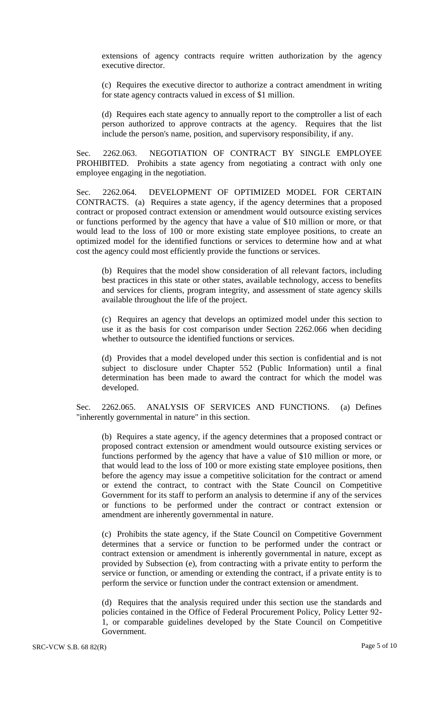extensions of agency contracts require written authorization by the agency executive director.

(c) Requires the executive director to authorize a contract amendment in writing for state agency contracts valued in excess of \$1 million.

(d) Requires each state agency to annually report to the comptroller a list of each person authorized to approve contracts at the agency. Requires that the list include the person's name, position, and supervisory responsibility, if any.

Sec. 2262.063. NEGOTIATION OF CONTRACT BY SINGLE EMPLOYEE PROHIBITED. Prohibits a state agency from negotiating a contract with only one employee engaging in the negotiation.

Sec. 2262.064. DEVELOPMENT OF OPTIMIZED MODEL FOR CERTAIN CONTRACTS. (a) Requires a state agency, if the agency determines that a proposed contract or proposed contract extension or amendment would outsource existing services or functions performed by the agency that have a value of \$10 million or more, or that would lead to the loss of 100 or more existing state employee positions, to create an optimized model for the identified functions or services to determine how and at what cost the agency could most efficiently provide the functions or services.

(b) Requires that the model show consideration of all relevant factors, including best practices in this state or other states, available technology, access to benefits and services for clients, program integrity, and assessment of state agency skills available throughout the life of the project.

(c) Requires an agency that develops an optimized model under this section to use it as the basis for cost comparison under Section 2262.066 when deciding whether to outsource the identified functions or services.

(d) Provides that a model developed under this section is confidential and is not subject to disclosure under Chapter 552 (Public Information) until a final determination has been made to award the contract for which the model was developed.

Sec. 2262.065. ANALYSIS OF SERVICES AND FUNCTIONS. (a) Defines "inherently governmental in nature" in this section.

(b) Requires a state agency, if the agency determines that a proposed contract or proposed contract extension or amendment would outsource existing services or functions performed by the agency that have a value of \$10 million or more, or that would lead to the loss of 100 or more existing state employee positions, then before the agency may issue a competitive solicitation for the contract or amend or extend the contract, to contract with the State Council on Competitive Government for its staff to perform an analysis to determine if any of the services or functions to be performed under the contract or contract extension or amendment are inherently governmental in nature.

(c) Prohibits the state agency, if the State Council on Competitive Government determines that a service or function to be performed under the contract or contract extension or amendment is inherently governmental in nature, except as provided by Subsection (e), from contracting with a private entity to perform the service or function, or amending or extending the contract, if a private entity is to perform the service or function under the contract extension or amendment.

(d) Requires that the analysis required under this section use the standards and policies contained in the Office of Federal Procurement Policy, Policy Letter 92- 1, or comparable guidelines developed by the State Council on Competitive Government.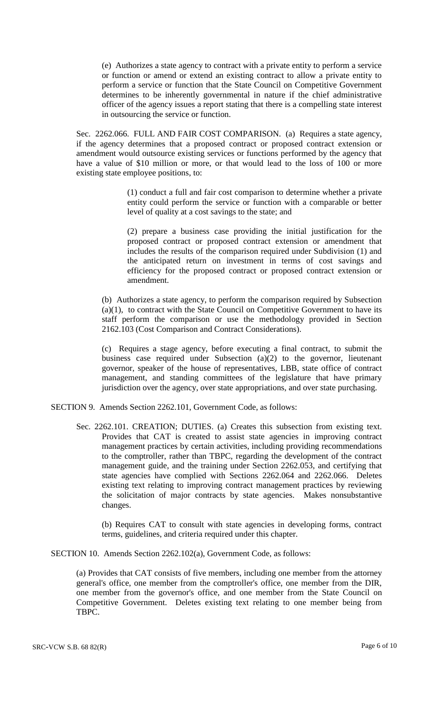(e) Authorizes a state agency to contract with a private entity to perform a service or function or amend or extend an existing contract to allow a private entity to perform a service or function that the State Council on Competitive Government determines to be inherently governmental in nature if the chief administrative officer of the agency issues a report stating that there is a compelling state interest in outsourcing the service or function.

Sec. 2262.066. FULL AND FAIR COST COMPARISON. (a) Requires a state agency, if the agency determines that a proposed contract or proposed contract extension or amendment would outsource existing services or functions performed by the agency that have a value of \$10 million or more, or that would lead to the loss of 100 or more existing state employee positions, to:

> (1) conduct a full and fair cost comparison to determine whether a private entity could perform the service or function with a comparable or better level of quality at a cost savings to the state; and

> (2) prepare a business case providing the initial justification for the proposed contract or proposed contract extension or amendment that includes the results of the comparison required under Subdivision (1) and the anticipated return on investment in terms of cost savings and efficiency for the proposed contract or proposed contract extension or amendment.

(b) Authorizes a state agency, to perform the comparison required by Subsection (a)(1), to contract with the State Council on Competitive Government to have its staff perform the comparison or use the methodology provided in Section 2162.103 (Cost Comparison and Contract Considerations).

(c) Requires a stage agency, before executing a final contract, to submit the business case required under Subsection (a)(2) to the governor, lieutenant governor, speaker of the house of representatives, LBB, state office of contract management, and standing committees of the legislature that have primary jurisdiction over the agency, over state appropriations, and over state purchasing.

- SECTION 9. Amends Section 2262.101, Government Code, as follows:
	- Sec. 2262.101. CREATION; DUTIES. (a) Creates this subsection from existing text. Provides that CAT is created to assist state agencies in improving contract management practices by certain activities, including providing recommendations to the comptroller, rather than TBPC, regarding the development of the contract management guide, and the training under Section 2262.053, and certifying that state agencies have complied with Sections 2262.064 and 2262.066. Deletes existing text relating to improving contract management practices by reviewing the solicitation of major contracts by state agencies. Makes nonsubstantive changes.

(b) Requires CAT to consult with state agencies in developing forms, contract terms, guidelines, and criteria required under this chapter.

SECTION 10. Amends Section 2262.102(a), Government Code, as follows:

(a) Provides that CAT consists of five members, including one member from the attorney general's office, one member from the comptroller's office, one member from the DIR, one member from the governor's office, and one member from the State Council on Competitive Government. Deletes existing text relating to one member being from TBPC.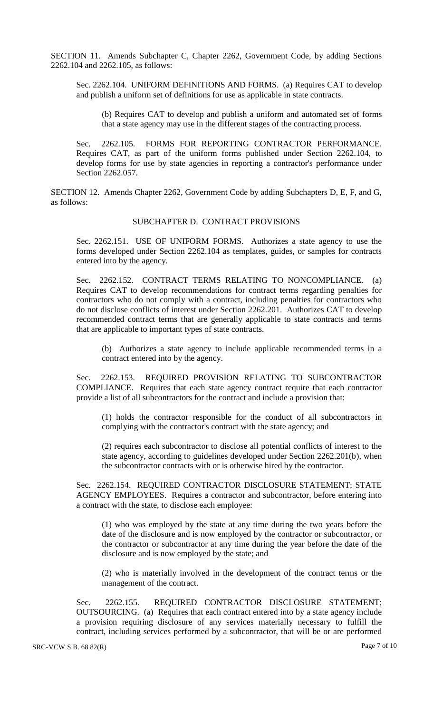SECTION 11. Amends Subchapter C, Chapter 2262, Government Code, by adding Sections 2262.104 and 2262.105, as follows:

Sec. 2262.104. UNIFORM DEFINITIONS AND FORMS. (a) Requires CAT to develop and publish a uniform set of definitions for use as applicable in state contracts.

(b) Requires CAT to develop and publish a uniform and automated set of forms that a state agency may use in the different stages of the contracting process.

Sec. 2262.105. FORMS FOR REPORTING CONTRACTOR PERFORMANCE. Requires CAT, as part of the uniform forms published under Section 2262.104, to develop forms for use by state agencies in reporting a contractor's performance under Section 2262.057.

SECTION 12. Amends Chapter 2262, Government Code by adding Subchapters D, E, F, and G, as follows:

### SUBCHAPTER D. CONTRACT PROVISIONS

Sec. 2262.151. USE OF UNIFORM FORMS. Authorizes a state agency to use the forms developed under Section 2262.104 as templates, guides, or samples for contracts entered into by the agency.

Sec. 2262.152. CONTRACT TERMS RELATING TO NONCOMPLIANCE. (a) Requires CAT to develop recommendations for contract terms regarding penalties for contractors who do not comply with a contract, including penalties for contractors who do not disclose conflicts of interest under Section 2262.201. Authorizes CAT to develop recommended contract terms that are generally applicable to state contracts and terms that are applicable to important types of state contracts.

(b) Authorizes a state agency to include applicable recommended terms in a contract entered into by the agency.

Sec. 2262.153. REQUIRED PROVISION RELATING TO SUBCONTRACTOR COMPLIANCE. Requires that each state agency contract require that each contractor provide a list of all subcontractors for the contract and include a provision that:

(1) holds the contractor responsible for the conduct of all subcontractors in complying with the contractor's contract with the state agency; and

(2) requires each subcontractor to disclose all potential conflicts of interest to the state agency, according to guidelines developed under Section 2262.201(b), when the subcontractor contracts with or is otherwise hired by the contractor.

Sec. 2262.154. REQUIRED CONTRACTOR DISCLOSURE STATEMENT; STATE AGENCY EMPLOYEES. Requires a contractor and subcontractor, before entering into a contract with the state, to disclose each employee:

(1) who was employed by the state at any time during the two years before the date of the disclosure and is now employed by the contractor or subcontractor, or the contractor or subcontractor at any time during the year before the date of the disclosure and is now employed by the state; and

(2) who is materially involved in the development of the contract terms or the management of the contract.

Sec. 2262.155. REQUIRED CONTRACTOR DISCLOSURE STATEMENT; OUTSOURCING. (a) Requires that each contract entered into by a state agency include a provision requiring disclosure of any services materially necessary to fulfill the contract, including services performed by a subcontractor, that will be or are performed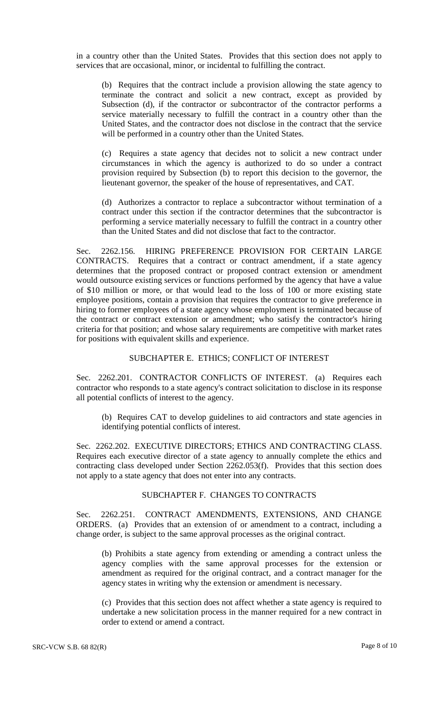in a country other than the United States. Provides that this section does not apply to services that are occasional, minor, or incidental to fulfilling the contract.

(b) Requires that the contract include a provision allowing the state agency to terminate the contract and solicit a new contract, except as provided by Subsection (d), if the contractor or subcontractor of the contractor performs a service materially necessary to fulfill the contract in a country other than the United States, and the contractor does not disclose in the contract that the service will be performed in a country other than the United States.

(c) Requires a state agency that decides not to solicit a new contract under circumstances in which the agency is authorized to do so under a contract provision required by Subsection (b) to report this decision to the governor, the lieutenant governor, the speaker of the house of representatives, and CAT.

(d) Authorizes a contractor to replace a subcontractor without termination of a contract under this section if the contractor determines that the subcontractor is performing a service materially necessary to fulfill the contract in a country other than the United States and did not disclose that fact to the contractor.

Sec. 2262.156. HIRING PREFERENCE PROVISION FOR CERTAIN LARGE CONTRACTS. Requires that a contract or contract amendment, if a state agency determines that the proposed contract or proposed contract extension or amendment would outsource existing services or functions performed by the agency that have a value of \$10 million or more, or that would lead to the loss of 100 or more existing state employee positions, contain a provision that requires the contractor to give preference in hiring to former employees of a state agency whose employment is terminated because of the contract or contract extension or amendment; who satisfy the contractor's hiring criteria for that position; and whose salary requirements are competitive with market rates for positions with equivalent skills and experience.

#### SUBCHAPTER E. ETHICS; CONFLICT OF INTEREST

Sec. 2262.201. CONTRACTOR CONFLICTS OF INTEREST. (a) Requires each contractor who responds to a state agency's contract solicitation to disclose in its response all potential conflicts of interest to the agency.

(b) Requires CAT to develop guidelines to aid contractors and state agencies in identifying potential conflicts of interest.

Sec. 2262.202. EXECUTIVE DIRECTORS; ETHICS AND CONTRACTING CLASS. Requires each executive director of a state agency to annually complete the ethics and contracting class developed under Section 2262.053(f). Provides that this section does not apply to a state agency that does not enter into any contracts.

# SUBCHAPTER F. CHANGES TO CONTRACTS

Sec. 2262.251. CONTRACT AMENDMENTS, EXTENSIONS, AND CHANGE ORDERS. (a) Provides that an extension of or amendment to a contract, including a change order, is subject to the same approval processes as the original contract.

(b) Prohibits a state agency from extending or amending a contract unless the agency complies with the same approval processes for the extension or amendment as required for the original contract, and a contract manager for the agency states in writing why the extension or amendment is necessary.

(c) Provides that this section does not affect whether a state agency is required to undertake a new solicitation process in the manner required for a new contract in order to extend or amend a contract.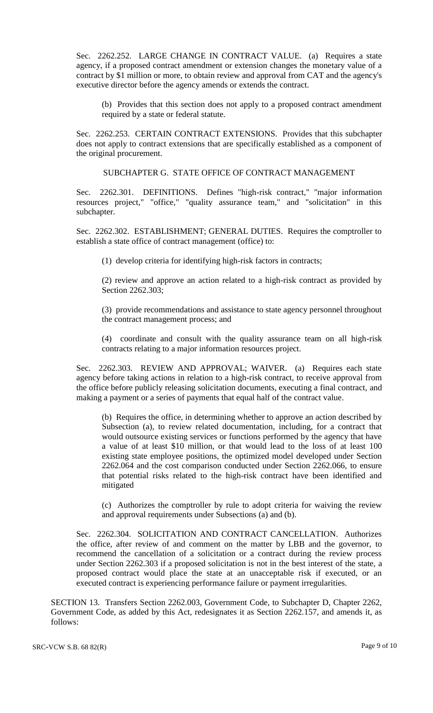Sec. 2262.252. LARGE CHANGE IN CONTRACT VALUE. (a) Requires a state agency, if a proposed contract amendment or extension changes the monetary value of a contract by \$1 million or more, to obtain review and approval from CAT and the agency's executive director before the agency amends or extends the contract.

(b) Provides that this section does not apply to a proposed contract amendment required by a state or federal statute.

Sec. 2262.253. CERTAIN CONTRACT EXTENSIONS. Provides that this subchapter does not apply to contract extensions that are specifically established as a component of the original procurement.

SUBCHAPTER G. STATE OFFICE OF CONTRACT MANAGEMENT

Sec. 2262.301. DEFINITIONS. Defines "high-risk contract," "major information resources project," "office," "quality assurance team," and "solicitation" in this subchapter.

Sec. 2262.302. ESTABLISHMENT; GENERAL DUTIES. Requires the comptroller to establish a state office of contract management (office) to:

(1) develop criteria for identifying high-risk factors in contracts;

(2) review and approve an action related to a high-risk contract as provided by Section 2262.303;

(3) provide recommendations and assistance to state agency personnel throughout the contract management process; and

(4) coordinate and consult with the quality assurance team on all high-risk contracts relating to a major information resources project.

Sec. 2262.303. REVIEW AND APPROVAL; WAIVER. (a) Requires each state agency before taking actions in relation to a high-risk contract, to receive approval from the office before publicly releasing solicitation documents, executing a final contract, and making a payment or a series of payments that equal half of the contract value.

(b) Requires the office, in determining whether to approve an action described by Subsection (a), to review related documentation, including, for a contract that would outsource existing services or functions performed by the agency that have a value of at least \$10 million, or that would lead to the loss of at least 100 existing state employee positions, the optimized model developed under Section 2262.064 and the cost comparison conducted under Section 2262.066, to ensure that potential risks related to the high-risk contract have been identified and mitigated

(c) Authorizes the comptroller by rule to adopt criteria for waiving the review and approval requirements under Subsections (a) and (b).

Sec. 2262.304. SOLICITATION AND CONTRACT CANCELLATION. Authorizes the office, after review of and comment on the matter by LBB and the governor, to recommend the cancellation of a solicitation or a contract during the review process under Section 2262.303 if a proposed solicitation is not in the best interest of the state, a proposed contract would place the state at an unacceptable risk if executed, or an executed contract is experiencing performance failure or payment irregularities.

SECTION 13. Transfers Section 2262.003, Government Code, to Subchapter D, Chapter 2262, Government Code, as added by this Act, redesignates it as Section 2262.157, and amends it, as follows: